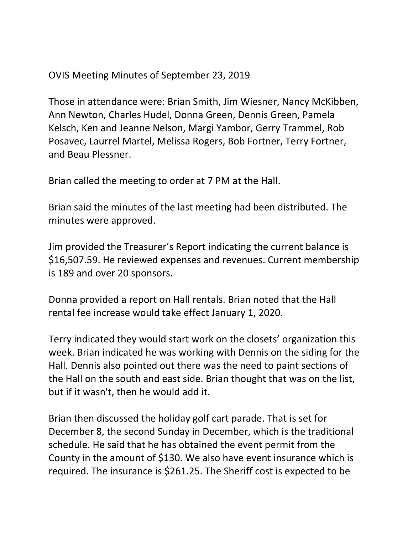OVIS Meeting Minutes of September 23, 2019

Those in attendance were: Brian Smith, Jim Wiesner, Nancy McKibben, Ann Newton, Charles Hudel, Donna Green, Dennis Green, Pamela Kelsch, Ken and Jeanne Nelson, Margi Yambor, Gerry Trammel, Rob Posavec, Laurrel Martel, Melissa Rogers, Bob Fortner, Terry Fortner, and Beau Plessner.

Brian called the meeting to order at 7 PM at the Hall.

Brian said the minutes of the last meeting had been distributed. The minutes were approved.

Jim provided the Treasurer's Report indicating the current balance is \$16,507.59. He reviewed expenses and revenues. Current membership is 189 and over 20 sponsors.

Donna provided a report on Hall rentals. Brian noted that the Hall rental fee increase would take effect January 1, 2020.

Terry indicated they would start work on the closets' organization this week. Brian indicated he was working with Dennis on the siding for the Hall. Dennis also pointed out there was the need to paint sections of the Hall on the south and east side. Brian thought that was on the list, but if it wasn't, then he would add it.

Brian then discussed the holiday golf cart parade. That is set for December 8, the second Sunday in December, which is the traditional schedule. He said that he has obtained the event permit from the County in the amount of \$130. We also have event insurance which is required. The insurance is \$261.25. The Sheriff cost is expected to be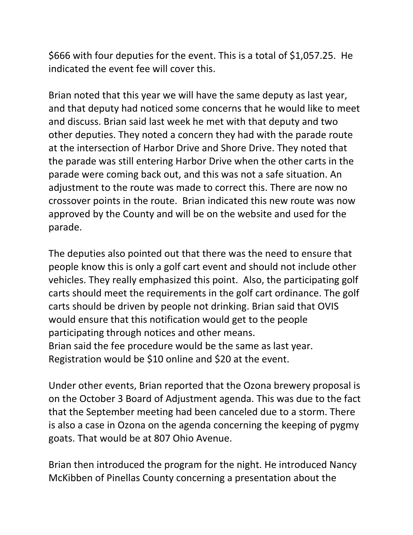\$666 with four deputies for the event. This is a total of \$1,057.25. He indicated the event fee will cover this.

Brian noted that this year we will have the same deputy as last year, and that deputy had noticed some concerns that he would like to meet and discuss. Brian said last week he met with that deputy and two other deputies. They noted a concern they had with the parade route at the intersection of Harbor Drive and Shore Drive. They noted that the parade was still entering Harbor Drive when the other carts in the parade were coming back out, and this was not a safe situation. An adjustment to the route was made to correct this. There are now no crossover points in the route. Brian indicated this new route was now approved by the County and will be on the website and used for the parade.

The deputies also pointed out that there was the need to ensure that people know this is only a golf cart event and should not include other vehicles. They really emphasized this point. Also, the participating golf carts should meet the requirements in the golf cart ordinance. The golf carts should be driven by people not drinking. Brian said that OVIS would ensure that this notification would get to the people participating through notices and other means. Brian said the fee procedure would be the same as last year. Registration would be \$10 online and \$20 at the event.

Under other events, Brian reported that the Ozona brewery proposal is on the October 3 Board of Adjustment agenda. This was due to the fact that the September meeting had been canceled due to a storm. There is also a case in Ozona on the agenda concerning the keeping of pygmy goats. That would be at 807 Ohio Avenue.

Brian then introduced the program for the night. He introduced Nancy McKibben of Pinellas County concerning a presentation about the